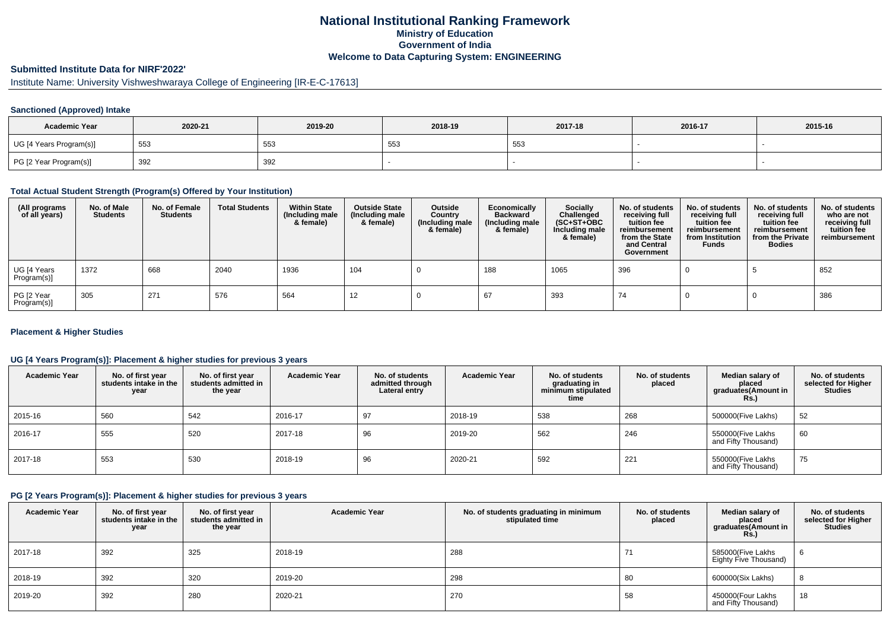## **National Institutional Ranking FrameworkMinistry of Education Government of IndiaWelcome to Data Capturing System: ENGINEERING**

## **Submitted Institute Data for NIRF'2022'**

# Institute Name: University Vishweshwaraya College of Engineering [IR-E-C-17613]

#### **Sanctioned (Approved) Intake**

| <b>Academic Year</b>    | 2020-21 | 2019-20 | 2018-19     | 2017-18 | 2016-17 | 2015-16 |
|-------------------------|---------|---------|-------------|---------|---------|---------|
| UG [4 Years Program(s)] | 553     | 553     | $ -$<br>ັບບ | 553     |         |         |
| PG [2 Year Program(s)]  | 392     | 392     |             |         |         |         |

#### **Total Actual Student Strength (Program(s) Offered by Your Institution)**

| (All programs<br>of all years) | No. of Male<br><b>Students</b> | No. of Female<br>Students | <b>Total Students</b> | <b>Within State</b><br>(Including male<br>& female) | <b>Outside State</b><br>(Including male<br>& female) | Outside<br>Country<br>(Including male<br>& female) | Economically<br><b>Backward</b><br>(Including male<br>& female) | <b>Socially</b><br>Challenged<br>$(SC+ST+OBC)$<br>Including male<br>& female) | No. of students<br>receiving full<br>tuition fee<br>reimbursement<br>from the State<br>and Central<br>Government | No. of students<br>receiving full<br>tuition fee<br>reimbursement<br>from Institution<br><b>Funds</b> | No. of students<br>receiving full<br>tuition fee<br>reimbursement<br>from the Private<br><b>Bodies</b> | No. of students<br>who are not<br>receiving full<br>tuition fee<br>reimbursement |
|--------------------------------|--------------------------------|---------------------------|-----------------------|-----------------------------------------------------|------------------------------------------------------|----------------------------------------------------|-----------------------------------------------------------------|-------------------------------------------------------------------------------|------------------------------------------------------------------------------------------------------------------|-------------------------------------------------------------------------------------------------------|--------------------------------------------------------------------------------------------------------|----------------------------------------------------------------------------------|
| UG [4 Years<br>Program(s)]     | 1372                           | 668                       | 2040                  | 1936                                                | 104                                                  |                                                    | 188                                                             | 1065                                                                          | 396                                                                                                              |                                                                                                       |                                                                                                        | 852                                                                              |
| PG [2 Year<br>Program(s)]      | 305                            | 271                       | 576                   | 564                                                 | 12                                                   |                                                    |                                                                 | 393                                                                           | 74                                                                                                               |                                                                                                       |                                                                                                        | 386                                                                              |

#### **Placement & Higher Studies**

#### **UG [4 Years Program(s)]: Placement & higher studies for previous 3 years**

| <b>Academic Year</b> | No. of first year<br>students intake in the<br>year | No. of first vear<br>students admitted in<br>the year | <b>Academic Year</b> | No. of students<br>admitted through<br>Lateral entry | <b>Academic Year</b> | No. of students<br>graduating in<br>minimum stipulated<br>time | No. of students<br>placed | Median salary of<br>placed<br>graduates(Amount in<br>Rs.) | No. of students<br>selected for Higher<br><b>Studies</b> |
|----------------------|-----------------------------------------------------|-------------------------------------------------------|----------------------|------------------------------------------------------|----------------------|----------------------------------------------------------------|---------------------------|-----------------------------------------------------------|----------------------------------------------------------|
| 2015-16              | 560                                                 | 542                                                   | 2016-17              | 97                                                   | 2018-19              | 538                                                            | 268                       | 500000(Five Lakhs)                                        | 52                                                       |
| 2016-17              | 555                                                 | 520                                                   | 2017-18              | 96                                                   | 2019-20              | 562                                                            | 246                       | 550000(Five Lakhs<br>and Fifty Thousand)                  | 60                                                       |
| 2017-18              | 553                                                 | 530                                                   | 2018-19              | 96                                                   | 2020-21              | 592                                                            | 221                       | 550000(Five Lakhs<br>and Fifty Thousand)                  | 75                                                       |

#### **PG [2 Years Program(s)]: Placement & higher studies for previous 3 years**

| <b>Academic Year</b> | No. of first year<br>students intake in the<br>year | No. of first year<br>students admitted in<br>the year | <b>Academic Year</b> | No. of students graduating in minimum<br>stipulated time | No. of students<br>placed | Median salary of<br>placed<br>graduates (Amount in<br>Rs.) | No. of students<br>selected for Higher<br><b>Studies</b> |
|----------------------|-----------------------------------------------------|-------------------------------------------------------|----------------------|----------------------------------------------------------|---------------------------|------------------------------------------------------------|----------------------------------------------------------|
| 2017-18              | 392                                                 | 325                                                   | 2018-19              | 288                                                      | 71                        | 585000(Five Lakhs<br>Eighty Five Thousand)                 |                                                          |
| 2018-19              | 392                                                 | 320                                                   | 2019-20              | 298                                                      | 80                        | 600000(Six Lakhs)                                          |                                                          |
| 2019-20              | 392                                                 | 280                                                   | 2020-21              | 270                                                      | 58                        | 450000(Four Lakhs<br>and Fifty Thousand)                   | 18                                                       |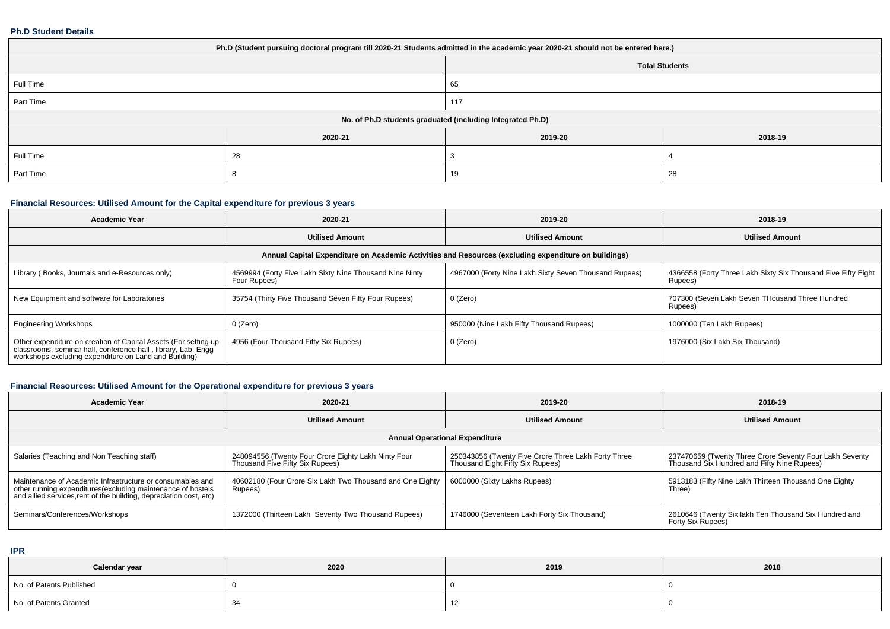#### **Ph.D Student Details**

| Ph.D (Student pursuing doctoral program till 2020-21 Students admitted in the academic year 2020-21 should not be entered here.) |         |                       |         |  |  |  |  |
|----------------------------------------------------------------------------------------------------------------------------------|---------|-----------------------|---------|--|--|--|--|
|                                                                                                                                  |         | <b>Total Students</b> |         |  |  |  |  |
| Full Time                                                                                                                        |         | 65                    |         |  |  |  |  |
| Part Time                                                                                                                        |         | 117                   |         |  |  |  |  |
| No. of Ph.D students graduated (including Integrated Ph.D)                                                                       |         |                       |         |  |  |  |  |
|                                                                                                                                  | 2020-21 | 2019-20               | 2018-19 |  |  |  |  |
| Full Time                                                                                                                        | 28      |                       |         |  |  |  |  |
| Part Time                                                                                                                        |         | 19<br>28              |         |  |  |  |  |

### **Financial Resources: Utilised Amount for the Capital expenditure for previous 3 years**

| <b>Academic Year</b>                                                                                                                                                                   | 2020-21                                                                 | 2019-20                                               | 2018-19                                                                  |  |  |  |  |  |  |
|----------------------------------------------------------------------------------------------------------------------------------------------------------------------------------------|-------------------------------------------------------------------------|-------------------------------------------------------|--------------------------------------------------------------------------|--|--|--|--|--|--|
|                                                                                                                                                                                        | <b>Utilised Amount</b>                                                  | <b>Utilised Amount</b>                                | <b>Utilised Amount</b>                                                   |  |  |  |  |  |  |
| Annual Capital Expenditure on Academic Activities and Resources (excluding expenditure on buildings)                                                                                   |                                                                         |                                                       |                                                                          |  |  |  |  |  |  |
| Library (Books, Journals and e-Resources only)                                                                                                                                         | 4569994 (Forty Five Lakh Sixty Nine Thousand Nine Ninty<br>Four Rupees) | 4967000 (Forty Nine Lakh Sixty Seven Thousand Rupees) | 4366558 (Forty Three Lakh Sixty Six Thousand Five Fifty Eight<br>Rupees) |  |  |  |  |  |  |
| New Equipment and software for Laboratories                                                                                                                                            | 35754 (Thirty Five Thousand Seven Fifty Four Rupees)                    | 0 (Zero)                                              | 707300 (Seven Lakh Seven THousand Three Hundred<br>Rupees)               |  |  |  |  |  |  |
| <b>Engineering Workshops</b>                                                                                                                                                           | 0 (Zero)                                                                | 950000 (Nine Lakh Fifty Thousand Rupees)              | 1000000 (Ten Lakh Rupees)                                                |  |  |  |  |  |  |
| Other expenditure on creation of Capital Assets (For setting up classrooms, seminar hall, conference hall, library, Lab, Engg<br>workshops excluding expenditure on Land and Building) | 4956 (Four Thousand Fifty Six Rupees)                                   | 0 (Zero)                                              | 1976000 (Six Lakh Six Thousand)                                          |  |  |  |  |  |  |

# **Financial Resources: Utilised Amount for the Operational expenditure for previous 3 years**

| <b>Academic Year</b>                                                                                                                                                                            | 2020-21                                                                                | 2019-20                                                                                 | 2018-19                                                                                                |  |  |  |  |  |
|-------------------------------------------------------------------------------------------------------------------------------------------------------------------------------------------------|----------------------------------------------------------------------------------------|-----------------------------------------------------------------------------------------|--------------------------------------------------------------------------------------------------------|--|--|--|--|--|
|                                                                                                                                                                                                 | <b>Utilised Amount</b>                                                                 | <b>Utilised Amount</b>                                                                  | <b>Utilised Amount</b>                                                                                 |  |  |  |  |  |
| <b>Annual Operational Expenditure</b>                                                                                                                                                           |                                                                                        |                                                                                         |                                                                                                        |  |  |  |  |  |
| Salaries (Teaching and Non Teaching staff)                                                                                                                                                      | 248094556 (Twenty Four Crore Eighty Lakh Ninty Four<br>Thousand Five Fifty Six Rupees) | 250343856 (Twenty Five Crore Three Lakh Forty Three<br>Thousand Eight Fifty Six Rupees) | 237470659 (Twenty Three Crore Seventy Four Lakh Seventy<br>Thousand Six Hundred and Fifty Nine Rupees) |  |  |  |  |  |
| Maintenance of Academic Infrastructure or consumables and<br>other running expenditures (excluding maintenance of hostels<br>and allied services, rent of the building, depreciation cost, etc) | 40602180 (Four Crore Six Lakh Two Thousand and One Eighty<br>Rupees)                   | 6000000 (Sixty Lakhs Rupees)                                                            | 5913183 (Fifty Nine Lakh Thirteen Thousand One Eighty<br>Three)                                        |  |  |  |  |  |
| Seminars/Conferences/Workshops                                                                                                                                                                  | 1372000 (Thirteen Lakh Seventy Two Thousand Rupees)                                    | 1746000 (Seventeen Lakh Forty Six Thousand)                                             | 2610646 (Twenty Six lakh Ten Thousand Six Hundred and<br>Forty Six Rupees)                             |  |  |  |  |  |

**IPR**

| Calendar year            | 2020 | 2019 | 2018 |
|--------------------------|------|------|------|
| No. of Patents Published |      |      |      |
| No. of Patents Granted   | -د.  | 14   |      |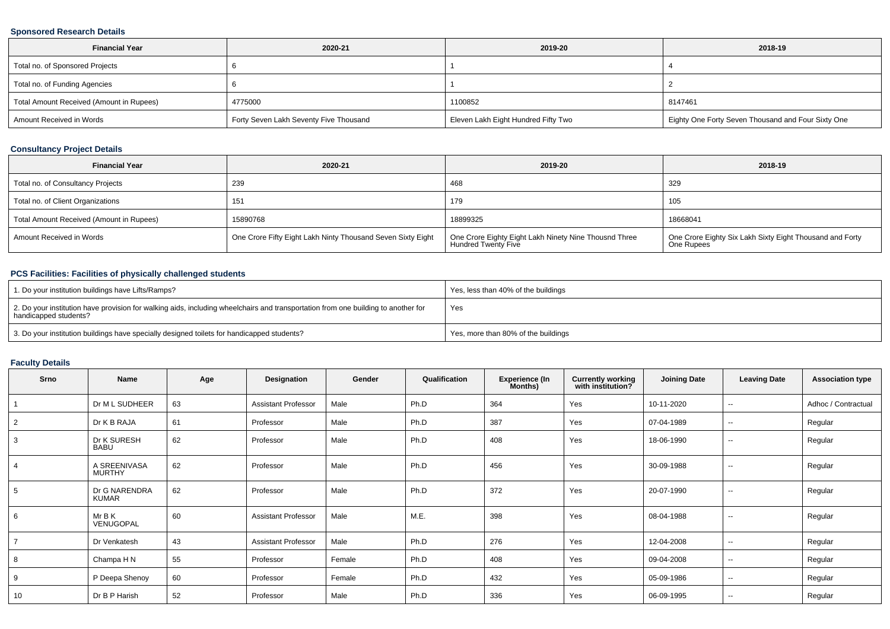### **Sponsored Research Details**

| <b>Financial Year</b><br>2020-21         |                                        | 2019-20                             | 2018-19                                            |  |
|------------------------------------------|----------------------------------------|-------------------------------------|----------------------------------------------------|--|
| Total no. of Sponsored Projects          |                                        |                                     |                                                    |  |
| Total no. of Funding Agencies            |                                        |                                     |                                                    |  |
| Total Amount Received (Amount in Rupees) | 4775000                                | 1100852                             | 8147461                                            |  |
| Amount Received in Words                 | Forty Seven Lakh Seventy Five Thousand | Eleven Lakh Eight Hundred Fifty Two | Eighty One Forty Seven Thousand and Four Sixty One |  |

### **Consultancy Project Details**

| <b>Financial Year</b>                    | 2020-21                                                     | 2019-20                                                                      | 2018-19                                                                |
|------------------------------------------|-------------------------------------------------------------|------------------------------------------------------------------------------|------------------------------------------------------------------------|
| Total no. of Consultancy Projects        | 239                                                         | 468                                                                          | 329                                                                    |
| Total no. of Client Organizations        | 151                                                         | 179                                                                          | 105                                                                    |
| Total Amount Received (Amount in Rupees) | 15890768                                                    | 18899325                                                                     | 18668041                                                               |
| Amount Received in Words                 | One Crore Fifty Eight Lakh Ninty Thousand Seven Sixty Eight | One Crore Eighty Eight Lakh Ninety Nine Thousnd Three<br>Hundred Twenty Five | One Crore Eighty Six Lakh Sixty Eight Thousand and Forty<br>One Rupees |

### **PCS Facilities: Facilities of physically challenged students**

| 1. Do your institution buildings have Lifts/Ramps?                                                                                                         | Yes, less than 40% of the buildings |
|------------------------------------------------------------------------------------------------------------------------------------------------------------|-------------------------------------|
| 2. Do your institution have provision for walking aids, including wheelchairs and transportation from one building to another for<br>handicapped students? | Yes                                 |
| 3. Do your institution buildings have specially designed toilets for handicapped students?                                                                 | Yes, more than 80% of the buildings |

#### **Faculty Details**

| Srno | Name                          | Age | Designation                | Gender | Qualification | <b>Experience (In</b><br>Months) | <b>Currently working</b><br>with institution? | <b>Joining Date</b> | <b>Leaving Date</b>      | <b>Association type</b> |
|------|-------------------------------|-----|----------------------------|--------|---------------|----------------------------------|-----------------------------------------------|---------------------|--------------------------|-------------------------|
|      | Dr M L SUDHEER                | 63  | <b>Assistant Professor</b> | Male   | Ph.D          | 364                              | Yes                                           | 10-11-2020          | $\overline{\phantom{a}}$ | Adhoc / Contractual     |
|      | Dr K B RAJA                   | 61  | Professor                  | Male   | Ph.D          | 387                              | Yes                                           | 07-04-1989          | $\sim$                   | Regular                 |
| 3    | Dr K SURESH<br><b>BABU</b>    | 62  | Professor                  | Male   | Ph.D          | 408                              | Yes                                           | 18-06-1990          | $\sim$                   | Regular                 |
|      | A SREENIVASA<br><b>MURTHY</b> | 62  | Professor                  | Male   | Ph.D          | 456                              | Yes                                           | 30-09-1988          | $\sim$                   | Regular                 |
|      | Dr G NARENDRA<br>KUMAR        | 62  | Professor                  | Male   | Ph.D          | 372                              | Yes                                           | 20-07-1990          | $\overline{\phantom{a}}$ | Regular                 |
| 6    | Mr B K<br>VENUGOPAL           | 60  | <b>Assistant Professor</b> | Male   | M.E.          | 398                              | Yes                                           | 08-04-1988          | $\overline{\phantom{a}}$ | Regular                 |
|      | Dr Venkatesh                  | 43  | <b>Assistant Professor</b> | Male   | Ph.D          | 276                              | Yes                                           | 12-04-2008          | $\sim$                   | Regular                 |
|      | Champa H N                    | 55  | Professor                  | Female | Ph.D          | 408                              | Yes                                           | 09-04-2008          | $\sim$                   | Regular                 |
| 9    | P Deepa Shenoy                | 60  | Professor                  | Female | Ph.D          | 432                              | Yes                                           | 05-09-1986          | $\sim$                   | Regular                 |
| 10   | Dr B P Harish                 | 52  | Professor                  | Male   | Ph.D          | 336                              | Yes                                           | 06-09-1995          | $\sim$                   | Regular                 |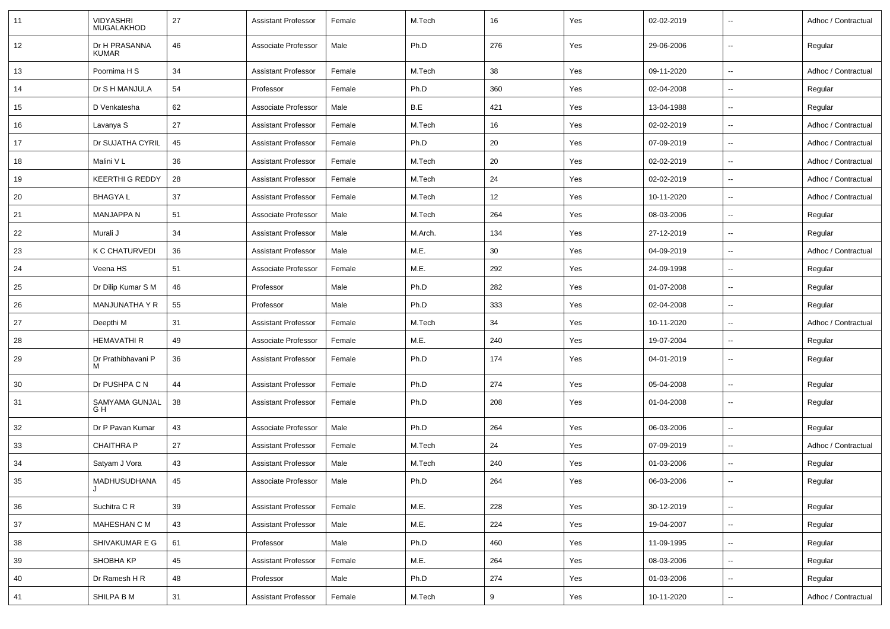| 11 | <b>VIDYASHRI</b><br><b>MUGALAKHOD</b> | 27 | <b>Assistant Professor</b> | Female | M.Tech  | 16  | Yes | 02-02-2019 |                          | Adhoc / Contractual |
|----|---------------------------------------|----|----------------------------|--------|---------|-----|-----|------------|--------------------------|---------------------|
| 12 | Dr H PRASANNA<br><b>KUMAR</b>         | 46 | Associate Professor        | Male   | Ph.D    | 276 | Yes | 29-06-2006 | $\sim$                   | Regular             |
| 13 | Poornima H S                          | 34 | <b>Assistant Professor</b> | Female | M.Tech  | 38  | Yes | 09-11-2020 | $\sim$                   | Adhoc / Contractual |
| 14 | Dr S H MANJULA                        | 54 | Professor                  | Female | Ph.D    | 360 | Yes | 02-04-2008 | $\overline{\phantom{a}}$ | Regular             |
| 15 | D Venkatesha                          | 62 | Associate Professor        | Male   | B.E     | 421 | Yes | 13-04-1988 | $\overline{\phantom{a}}$ | Regular             |
| 16 | Lavanya S                             | 27 | <b>Assistant Professor</b> | Female | M.Tech  | 16  | Yes | 02-02-2019 | $\overline{\phantom{a}}$ | Adhoc / Contractual |
| 17 | Dr SUJATHA CYRIL                      | 45 | <b>Assistant Professor</b> | Female | Ph.D    | 20  | Yes | 07-09-2019 | $\sim$                   | Adhoc / Contractual |
| 18 | Malini VL                             | 36 | <b>Assistant Professor</b> | Female | M.Tech  | 20  | Yes | 02-02-2019 | $\sim$                   | Adhoc / Contractual |
| 19 | <b>KEERTHI G REDDY</b>                | 28 | <b>Assistant Professor</b> | Female | M.Tech  | 24  | Yes | 02-02-2019 | $\sim$                   | Adhoc / Contractual |
| 20 | <b>BHAGYAL</b>                        | 37 | <b>Assistant Professor</b> | Female | M.Tech  | 12  | Yes | 10-11-2020 | $\overline{\phantom{a}}$ | Adhoc / Contractual |
| 21 | <b>MANJAPPA N</b>                     | 51 | Associate Professor        | Male   | M.Tech  | 264 | Yes | 08-03-2006 | $\overline{\phantom{a}}$ | Regular             |
| 22 | Murali J                              | 34 | <b>Assistant Professor</b> | Male   | M.Arch. | 134 | Yes | 27-12-2019 | $\overline{\phantom{a}}$ | Regular             |
| 23 | K C CHATURVEDI                        | 36 | <b>Assistant Professor</b> | Male   | M.E.    | 30  | Yes | 04-09-2019 |                          | Adhoc / Contractual |
| 24 | Veena HS                              | 51 | Associate Professor        | Female | M.E.    | 292 | Yes | 24-09-1998 | $\sim$                   | Regular             |
| 25 | Dr Dilip Kumar S M                    | 46 | Professor                  | Male   | Ph.D    | 282 | Yes | 01-07-2008 | $\sim$                   | Regular             |
| 26 | MANJUNATHA Y R                        | 55 | Professor                  | Male   | Ph.D    | 333 | Yes | 02-04-2008 | $\overline{\phantom{a}}$ | Regular             |
| 27 | Deepthi M                             | 31 | <b>Assistant Professor</b> | Female | M.Tech  | 34  | Yes | 10-11-2020 | $\overline{\phantom{a}}$ | Adhoc / Contractual |
| 28 | <b>HEMAVATHI R</b>                    | 49 | Associate Professor        | Female | M.E.    | 240 | Yes | 19-07-2004 | $\overline{\phantom{a}}$ | Regular             |
| 29 | Dr Prathibhavani P<br>м               | 36 | <b>Assistant Professor</b> | Female | Ph.D    | 174 | Yes | 04-01-2019 | $\overline{\phantom{a}}$ | Regular             |
| 30 | Dr PUSHPA C N                         | 44 | <b>Assistant Professor</b> | Female | Ph.D    | 274 | Yes | 05-04-2008 | $\overline{\phantom{a}}$ | Regular             |
| 31 | SAMYAMA GUNJAL<br>G H                 | 38 | <b>Assistant Professor</b> | Female | Ph.D    | 208 | Yes | 01-04-2008 | $\sim$                   | Regular             |
| 32 | Dr P Pavan Kumar                      | 43 | Associate Professor        | Male   | Ph.D    | 264 | Yes | 06-03-2006 | $\sim$                   | Regular             |
| 33 | <b>CHAITHRA P</b>                     | 27 | <b>Assistant Professor</b> | Female | M.Tech  | 24  | Yes | 07-09-2019 | $\sim$                   | Adhoc / Contractual |
| 34 | Satyam J Vora                         | 43 | <b>Assistant Professor</b> | Male   | M.Tech  | 240 | Yes | 01-03-2006 | $\overline{\phantom{a}}$ | Regular             |
| 35 | MADHUSUDHANA<br>J                     | 45 | Associate Professor        | Male   | Ph.D    | 264 | Yes | 06-03-2006 | $\overline{\phantom{a}}$ | Regular             |
| 36 | Suchitra C R                          | 39 | <b>Assistant Professor</b> | Female | M.E.    | 228 | Yes | 30-12-2019 | $\sim$                   | Regular             |
| 37 | MAHESHAN C M                          | 43 | <b>Assistant Professor</b> | Male   | M.E.    | 224 | Yes | 19-04-2007 | $\sim$                   | Regular             |
| 38 | SHIVAKUMAR E G                        | 61 | Professor                  | Male   | Ph.D    | 460 | Yes | 11-09-1995 | $\sim$                   | Regular             |
| 39 | SHOBHA KP                             | 45 | <b>Assistant Professor</b> | Female | M.E.    | 264 | Yes | 08-03-2006 | $\sim$                   | Regular             |
| 40 | Dr Ramesh H R                         | 48 | Professor                  | Male   | Ph.D    | 274 | Yes | 01-03-2006 | $\sim$                   | Regular             |
| 41 | SHILPA B M                            | 31 | <b>Assistant Professor</b> | Female | M.Tech  | 9   | Yes | 10-11-2020 | $\overline{\phantom{a}}$ | Adhoc / Contractual |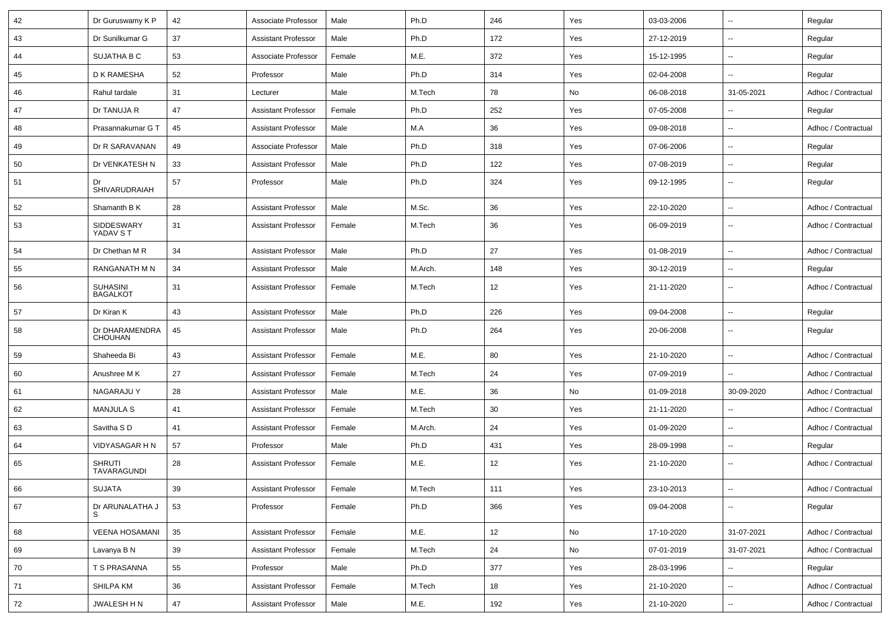| 42 | Dr Guruswamy K P                    | 42 | Associate Professor        | Male   | Ph.D    | 246 | Yes | 03-03-2006 | $\overline{\phantom{a}}$ | Regular             |
|----|-------------------------------------|----|----------------------------|--------|---------|-----|-----|------------|--------------------------|---------------------|
| 43 | Dr Sunilkumar G                     | 37 | <b>Assistant Professor</b> | Male   | Ph.D    | 172 | Yes | 27-12-2019 | $\overline{\phantom{a}}$ | Regular             |
| 44 | SUJATHA B C                         | 53 | Associate Professor        | Female | M.E.    | 372 | Yes | 15-12-1995 | $\overline{\phantom{a}}$ | Regular             |
| 45 | D K RAMESHA                         | 52 | Professor                  | Male   | Ph.D    | 314 | Yes | 02-04-2008 | $\overline{\phantom{a}}$ | Regular             |
| 46 | Rahul tardale                       | 31 | Lecturer                   | Male   | M.Tech  | 78  | No  | 06-08-2018 | 31-05-2021               | Adhoc / Contractual |
| 47 | Dr TANUJA R                         | 47 | <b>Assistant Professor</b> | Female | Ph.D    | 252 | Yes | 07-05-2008 | $\overline{\phantom{a}}$ | Regular             |
| 48 | Prasannakumar G T                   | 45 | <b>Assistant Professor</b> | Male   | M.A     | 36  | Yes | 09-08-2018 | $\overline{\phantom{a}}$ | Adhoc / Contractual |
| 49 | Dr R SARAVANAN                      | 49 | Associate Professor        | Male   | Ph.D    | 318 | Yes | 07-06-2006 | $\overline{\phantom{a}}$ | Regular             |
| 50 | Dr VENKATESH N                      | 33 | <b>Assistant Professor</b> | Male   | Ph.D    | 122 | Yes | 07-08-2019 | $\overline{\phantom{a}}$ | Regular             |
| 51 | Dr<br><b>SHIVARUDRAIAH</b>          | 57 | Professor                  | Male   | Ph.D    | 324 | Yes | 09-12-1995 | $\overline{\phantom{a}}$ | Regular             |
| 52 | Shamanth B K                        | 28 | <b>Assistant Professor</b> | Male   | M.Sc.   | 36  | Yes | 22-10-2020 | $\overline{\phantom{a}}$ | Adhoc / Contractual |
| 53 | SIDDESWARY<br>YADAV ST              | 31 | <b>Assistant Professor</b> | Female | M.Tech  | 36  | Yes | 06-09-2019 | $\overline{\phantom{a}}$ | Adhoc / Contractual |
| 54 | Dr Chethan M R                      | 34 | <b>Assistant Professor</b> | Male   | Ph.D    | 27  | Yes | 01-08-2019 | $\overline{\phantom{a}}$ | Adhoc / Contractual |
| 55 | RANGANATH M N                       | 34 | <b>Assistant Professor</b> | Male   | M.Arch. | 148 | Yes | 30-12-2019 | $\overline{\phantom{a}}$ | Regular             |
| 56 | <b>SUHASINI</b><br><b>BAGALKOT</b>  | 31 | <b>Assistant Professor</b> | Female | M.Tech  | 12  | Yes | 21-11-2020 | $\mathbf{u}$             | Adhoc / Contractual |
| 57 | Dr Kiran K                          | 43 | <b>Assistant Professor</b> | Male   | Ph.D    | 226 | Yes | 09-04-2008 | $\overline{\phantom{a}}$ | Regular             |
| 58 | Dr DHARAMENDRA<br><b>CHOUHAN</b>    | 45 | <b>Assistant Professor</b> | Male   | Ph.D    | 264 | Yes | 20-06-2008 | $\overline{\phantom{a}}$ | Regular             |
| 59 | Shaheeda Bi                         | 43 | <b>Assistant Professor</b> | Female | M.E.    | 80  | Yes | 21-10-2020 | $\overline{\phantom{a}}$ | Adhoc / Contractual |
| 60 | Anushree M K                        | 27 | <b>Assistant Professor</b> | Female | M.Tech  | 24  | Yes | 07-09-2019 | $\overline{\phantom{a}}$ | Adhoc / Contractual |
| 61 | <b>NAGARAJU Y</b>                   | 28 | <b>Assistant Professor</b> | Male   | M.E.    | 36  | No  | 01-09-2018 | 30-09-2020               | Adhoc / Contractual |
| 62 | <b>MANJULA S</b>                    | 41 | <b>Assistant Professor</b> | Female | M.Tech  | 30  | Yes | 21-11-2020 | $\overline{\phantom{a}}$ | Adhoc / Contractual |
| 63 | Savitha SD                          | 41 | <b>Assistant Professor</b> | Female | M.Arch. | 24  | Yes | 01-09-2020 | $\overline{\phantom{a}}$ | Adhoc / Contractual |
| 64 | VIDYASAGAR H N                      | 57 | Professor                  | Male   | Ph.D    | 431 | Yes | 28-09-1998 | $\overline{\phantom{a}}$ | Regular             |
| 65 | <b>SHRUTI</b><br><b>TAVARAGUNDI</b> | 28 | <b>Assistant Professor</b> | Female | M.E.    | 12  | Yes | 21-10-2020 | $\overline{\phantom{a}}$ | Adhoc / Contractual |
| 66 | <b>SUJATA</b>                       | 39 | <b>Assistant Professor</b> | Female | M.Tech  | 111 | Yes | 23-10-2013 | $\overline{\phantom{a}}$ | Adhoc / Contractual |
| 67 | Dr ARUNALATHA J                     | 53 | Professor                  | Female | Ph.D    | 366 | Yes | 09-04-2008 | $\overline{\phantom{a}}$ | Regular             |
| 68 | <b>VEENA HOSAMANI</b>               | 35 | <b>Assistant Professor</b> | Female | M.E.    | 12  | No  | 17-10-2020 | 31-07-2021               | Adhoc / Contractual |
| 69 | Lavanya B N                         | 39 | <b>Assistant Professor</b> | Female | M.Tech  | 24  | No  | 07-01-2019 | 31-07-2021               | Adhoc / Contractual |
| 70 | T S PRASANNA                        | 55 | Professor                  | Male   | Ph.D    | 377 | Yes | 28-03-1996 | $\overline{\phantom{a}}$ | Regular             |
| 71 | SHILPA KM                           | 36 | <b>Assistant Professor</b> | Female | M.Tech  | 18  | Yes | 21-10-2020 | $\overline{\phantom{a}}$ | Adhoc / Contractual |
| 72 | JWALESH H N                         | 47 | <b>Assistant Professor</b> | Male   | M.E.    | 192 | Yes | 21-10-2020 | ۰.                       | Adhoc / Contractual |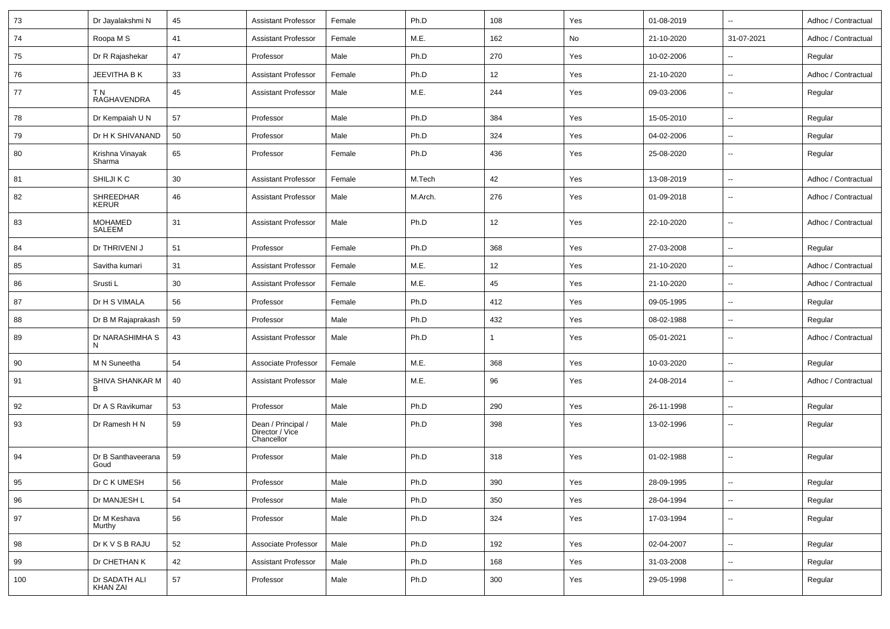| 73  | Dr Jayalakshmi N                 | 45 | Assistant Professor                                 | Female | Ph.D    | 108 | Yes | 01-08-2019 | $\sim$                   | Adhoc / Contractual |
|-----|----------------------------------|----|-----------------------------------------------------|--------|---------|-----|-----|------------|--------------------------|---------------------|
| 74  | Roopa M S                        | 41 | Assistant Professor                                 | Female | M.E.    | 162 | No  | 21-10-2020 | 31-07-2021               | Adhoc / Contractual |
| 75  | Dr R Rajashekar                  | 47 | Professor                                           | Male   | Ph.D    | 270 | Yes | 10-02-2006 | $\sim$                   | Regular             |
| 76  | JEEVITHA B K                     | 33 | Assistant Professor                                 | Female | Ph.D    | 12  | Yes | 21-10-2020 | $\sim$                   | Adhoc / Contractual |
| 77  | T N<br>RAGHAVENDRA               | 45 | <b>Assistant Professor</b>                          | Male   | M.E.    | 244 | Yes | 09-03-2006 | $\sim$                   | Regular             |
| 78  | Dr Kempaiah U N                  | 57 | Professor                                           | Male   | Ph.D    | 384 | Yes | 15-05-2010 | $\sim$                   | Regular             |
| 79  | Dr H K SHIVANAND                 | 50 | Professor                                           | Male   | Ph.D    | 324 | Yes | 04-02-2006 | $\sim$                   | Regular             |
| 80  | Krishna Vinayak<br>Sharma        | 65 | Professor                                           | Female | Ph.D    | 436 | Yes | 25-08-2020 | $\sim$                   | Regular             |
| 81  | SHILJI K C                       | 30 | <b>Assistant Professor</b>                          | Female | M.Tech  | 42  | Yes | 13-08-2019 | $\sim$                   | Adhoc / Contractual |
| 82  | SHREEDHAR<br><b>KERUR</b>        | 46 | Assistant Professor                                 | Male   | M.Arch. | 276 | Yes | 01-09-2018 | $\overline{\phantom{a}}$ | Adhoc / Contractual |
| 83  | MOHAMED<br>SALEEM                | 31 | <b>Assistant Professor</b>                          | Male   | Ph.D    | 12  | Yes | 22-10-2020 | $\sim$                   | Adhoc / Contractual |
| 84  | Dr THRIVENI J                    | 51 | Professor                                           | Female | Ph.D    | 368 | Yes | 27-03-2008 | $\overline{\phantom{a}}$ | Regular             |
| 85  | Savitha kumari                   | 31 | <b>Assistant Professor</b>                          | Female | M.E.    | 12  | Yes | 21-10-2020 | $\overline{\phantom{a}}$ | Adhoc / Contractual |
| 86  | Srusti L                         | 30 | Assistant Professor                                 | Female | M.E.    | 45  | Yes | 21-10-2020 | $\sim$                   | Adhoc / Contractual |
| 87  | Dr H S VIMALA                    | 56 | Professor                                           | Female | Ph.D    | 412 | Yes | 09-05-1995 | $\sim$                   | Regular             |
| 88  | Dr B M Rajaprakash               | 59 | Professor                                           | Male   | Ph.D    | 432 | Yes | 08-02-1988 | $\sim$                   | Regular             |
| 89  | Dr NARASHIMHA S<br>N             | 43 | Assistant Professor                                 | Male   | Ph.D    |     | Yes | 05-01-2021 | $\sim$                   | Adhoc / Contractual |
| 90  | M N Suneetha                     | 54 | Associate Professor                                 | Female | M.E.    | 368 | Yes | 10-03-2020 | $\sim$                   | Regular             |
| 91  | SHIVA SHANKAR M<br>B             | 40 | <b>Assistant Professor</b>                          | Male   | M.E.    | 96  | Yes | 24-08-2014 | $\overline{\phantom{a}}$ | Adhoc / Contractual |
| 92  | Dr A S Ravikumar                 | 53 | Professor                                           | Male   | Ph.D    | 290 | Yes | 26-11-1998 | $\ddot{\phantom{a}}$     | Regular             |
| 93  | Dr Ramesh H N                    | 59 | Dean / Principal /<br>Director / Vice<br>Chancellor | Male   | Ph.D    | 398 | Yes | 13-02-1996 | $\sim$                   | Regular             |
| 94  | Dr B Santhaveerana<br>Goud       | 59 | Professor                                           | Male   | Ph.D    | 318 | Yes | 01-02-1988 | $\overline{\phantom{a}}$ | Regular             |
| 95  | Dr C K UMESH                     | 56 | Professor                                           | Male   | Ph.D    | 390 | Yes | 28-09-1995 | $\overline{\phantom{a}}$ | Regular             |
| 96  | Dr MANJESH L                     | 54 | Professor                                           | Male   | Ph.D    | 350 | Yes | 28-04-1994 | $\sim$                   | Regular             |
| 97  | Dr M Keshava<br>Murthy           | 56 | Professor                                           | Male   | Ph.D    | 324 | Yes | 17-03-1994 | $\rightarrow$            | Regular             |
| 98  | Dr K V S B RAJU                  | 52 | Associate Professor                                 | Male   | Ph.D    | 192 | Yes | 02-04-2007 | $\sim$                   | Regular             |
| 99  | Dr CHETHAN K                     | 42 | <b>Assistant Professor</b>                          | Male   | Ph.D    | 168 | Yes | 31-03-2008 | $\sim$                   | Regular             |
| 100 | Dr SADATH ALI<br><b>KHAN ZAI</b> | 57 | Professor                                           | Male   | Ph.D    | 300 | Yes | 29-05-1998 | $\sim$                   | Regular             |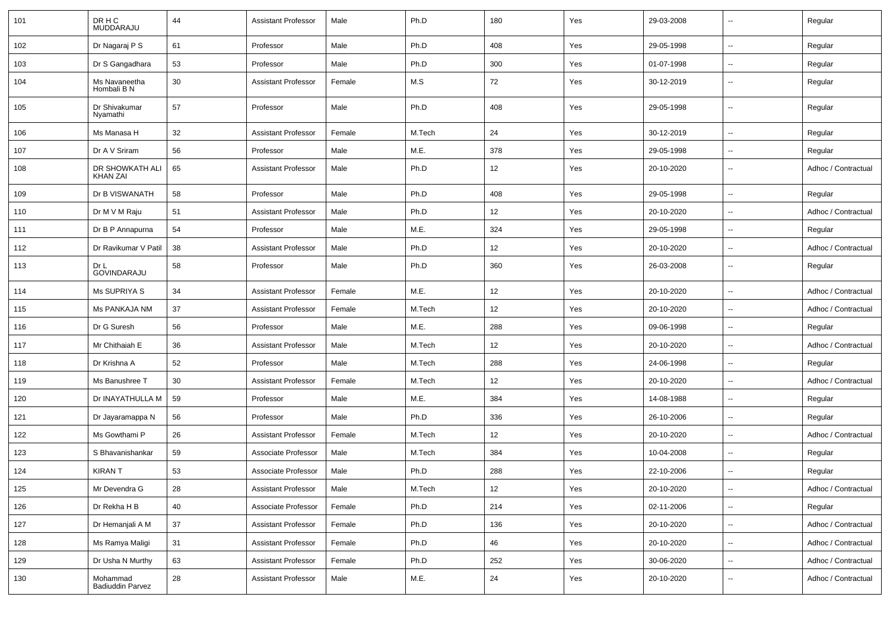| 101 | DR H C<br>MUDDARAJU                | 44     | <b>Assistant Professor</b> | Male   | Ph.D   | 180 | Yes | 29-03-2008 | $\overline{\phantom{a}}$ | Regular             |
|-----|------------------------------------|--------|----------------------------|--------|--------|-----|-----|------------|--------------------------|---------------------|
| 102 | Dr Nagaraj P S                     | 61     | Professor                  | Male   | Ph.D   | 408 | Yes | 29-05-1998 | $\overline{\phantom{a}}$ | Regular             |
| 103 | Dr S Gangadhara                    | 53     | Professor                  | Male   | Ph.D   | 300 | Yes | 01-07-1998 | $\overline{\phantom{a}}$ | Regular             |
| 104 | Ms Navaneetha<br>Hombali B N       | 30     | <b>Assistant Professor</b> | Female | M.S    | 72  | Yes | 30-12-2019 | $\overline{\phantom{a}}$ | Regular             |
| 105 | Dr Shivakumar<br>Nyamathi          | 57     | Professor                  | Male   | Ph.D   | 408 | Yes | 29-05-1998 | $\overline{\phantom{a}}$ | Regular             |
| 106 | Ms Manasa H                        | 32     | <b>Assistant Professor</b> | Female | M.Tech | 24  | Yes | 30-12-2019 | $\overline{\phantom{a}}$ | Regular             |
| 107 | Dr A V Sriram                      | 56     | Professor                  | Male   | M.E.   | 378 | Yes | 29-05-1998 | $\overline{\phantom{a}}$ | Regular             |
| 108 | DR SHOWKATH ALI<br><b>KHAN ZAI</b> | 65     | <b>Assistant Professor</b> | Male   | Ph.D   | 12  | Yes | 20-10-2020 | $\overline{\phantom{a}}$ | Adhoc / Contractual |
| 109 | Dr B VISWANATH                     | 58     | Professor                  | Male   | Ph.D   | 408 | Yes | 29-05-1998 | $\ddotsc$                | Regular             |
| 110 | Dr M V M Raju                      | 51     | <b>Assistant Professor</b> | Male   | Ph.D   | 12  | Yes | 20-10-2020 | $\overline{\phantom{a}}$ | Adhoc / Contractual |
| 111 | Dr B P Annapurna                   | 54     | Professor                  | Male   | M.E.   | 324 | Yes | 29-05-1998 | $\overline{\phantom{a}}$ | Regular             |
| 112 | Dr Ravikumar V Patil               | 38     | <b>Assistant Professor</b> | Male   | Ph.D   | 12  | Yes | 20-10-2020 | $\overline{\phantom{a}}$ | Adhoc / Contractual |
| 113 | Dr L<br>GOVINDARAJU                | 58     | Professor                  | Male   | Ph.D   | 360 | Yes | 26-03-2008 | $\overline{\phantom{a}}$ | Regular             |
| 114 | <b>Ms SUPRIYA S</b>                | 34     | <b>Assistant Professor</b> | Female | M.E.   | 12  | Yes | 20-10-2020 | $\overline{\phantom{a}}$ | Adhoc / Contractual |
| 115 | Ms PANKAJA NM                      | 37     | <b>Assistant Professor</b> | Female | M.Tech | 12  | Yes | 20-10-2020 | $\overline{\phantom{a}}$ | Adhoc / Contractual |
| 116 | Dr G Suresh                        | 56     | Professor                  | Male   | M.E.   | 288 | Yes | 09-06-1998 | $\overline{\phantom{a}}$ | Regular             |
| 117 | Mr Chithaiah E                     | 36     | <b>Assistant Professor</b> | Male   | M.Tech | 12  | Yes | 20-10-2020 | $\overline{\phantom{a}}$ | Adhoc / Contractual |
| 118 | Dr Krishna A                       | 52     | Professor                  | Male   | M.Tech | 288 | Yes | 24-06-1998 | $\overline{\phantom{a}}$ | Regular             |
| 119 | Ms Banushree T                     | 30     | <b>Assistant Professor</b> | Female | M.Tech | 12  | Yes | 20-10-2020 | $\sim$                   | Adhoc / Contractual |
| 120 | Dr INAYATHULLA M                   | 59     | Professor                  | Male   | M.E.   | 384 | Yes | 14-08-1988 | $\overline{\phantom{a}}$ | Regular             |
| 121 | Dr Jayaramappa N                   | 56     | Professor                  | Male   | Ph.D   | 336 | Yes | 26-10-2006 | $\overline{\phantom{a}}$ | Regular             |
| 122 | Ms Gowthami P                      | 26     | <b>Assistant Professor</b> | Female | M.Tech | 12  | Yes | 20-10-2020 | $\overline{\phantom{a}}$ | Adhoc / Contractual |
| 123 | S Bhavanishankar                   | 59     | Associate Professor        | Male   | M.Tech | 384 | Yes | 10-04-2008 | $\overline{\phantom{a}}$ | Regular             |
| 124 | <b>KIRANT</b>                      | 53     | Associate Professor        | Male   | Ph.D   | 288 | Yes | 22-10-2006 | $\overline{\phantom{a}}$ | Regular             |
| 125 | Mr Devendra G                      | 28     | <b>Assistant Professor</b> | Male   | M.Tech | 12  | Yes | 20-10-2020 | ۰.                       | Adhoc / Contractual |
| 126 | Dr Rekha H B                       | 40     | Associate Professor        | Female | Ph.D   | 214 | Yes | 02-11-2006 | $\overline{\phantom{a}}$ | Regular             |
| 127 | Dr Hemanjali A M                   | $37\,$ | <b>Assistant Professor</b> | Female | Ph.D   | 136 | Yes | 20-10-2020 | ۰.                       | Adhoc / Contractual |
| 128 | Ms Ramya Maligi                    | 31     | <b>Assistant Professor</b> | Female | Ph.D   | 46  | Yes | 20-10-2020 | $\overline{\phantom{a}}$ | Adhoc / Contractual |
| 129 | Dr Usha N Murthy                   | 63     | <b>Assistant Professor</b> | Female | Ph.D   | 252 | Yes | 30-06-2020 | $\overline{\phantom{a}}$ | Adhoc / Contractual |
| 130 | Mohammad<br>Badiuddin Parvez       | 28     | <b>Assistant Professor</b> | Male   | M.E.   | 24  | Yes | 20-10-2020 | $\overline{\phantom{a}}$ | Adhoc / Contractual |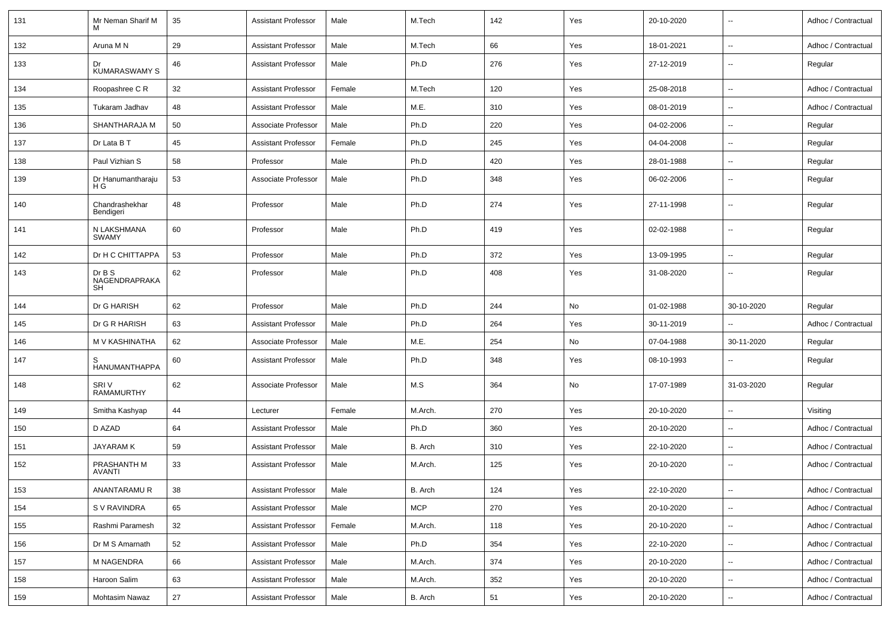| 131 | Mr Neman Sharif M                   | 35 | <b>Assistant Professor</b> | Male   | M.Tech     | 142 | Yes | 20-10-2020 | $\sim$                   | Adhoc / Contractual |
|-----|-------------------------------------|----|----------------------------|--------|------------|-----|-----|------------|--------------------------|---------------------|
| 132 | Aruna M N                           | 29 | <b>Assistant Professor</b> | Male   | M.Tech     | 66  | Yes | 18-01-2021 | $\sim$                   | Adhoc / Contractual |
| 133 | Dr<br><b>KUMARASWAMY S</b>          | 46 | <b>Assistant Professor</b> | Male   | Ph.D       | 276 | Yes | 27-12-2019 | $\overline{\phantom{a}}$ | Regular             |
| 134 | Roopashree C R                      | 32 | <b>Assistant Professor</b> | Female | M.Tech     | 120 | Yes | 25-08-2018 | $\overline{\phantom{a}}$ | Adhoc / Contractual |
| 135 | Tukaram Jadhav                      | 48 | <b>Assistant Professor</b> | Male   | M.E.       | 310 | Yes | 08-01-2019 | $\overline{\phantom{a}}$ | Adhoc / Contractual |
| 136 | SHANTHARAJA M                       | 50 | Associate Professor        | Male   | Ph.D       | 220 | Yes | 04-02-2006 | $\overline{\phantom{a}}$ | Regular             |
| 137 | Dr Lata B T                         | 45 | <b>Assistant Professor</b> | Female | Ph.D       | 245 | Yes | 04-04-2008 | $\sim$                   | Regular             |
| 138 | Paul Vizhian S                      | 58 | Professor                  | Male   | Ph.D       | 420 | Yes | 28-01-1988 | $\overline{\phantom{a}}$ | Regular             |
| 139 | Dr Hanumantharaju<br>H G            | 53 | Associate Professor        | Male   | Ph.D       | 348 | Yes | 06-02-2006 | $\overline{\phantom{a}}$ | Regular             |
| 140 | Chandrashekhar<br>Bendigeri         | 48 | Professor                  | Male   | Ph.D       | 274 | Yes | 27-11-1998 | $\overline{\phantom{a}}$ | Regular             |
| 141 | N LAKSHMANA<br><b>SWAMY</b>         | 60 | Professor                  | Male   | Ph.D       | 419 | Yes | 02-02-1988 | $\overline{\phantom{a}}$ | Regular             |
| 142 | Dr H C CHITTAPPA                    | 53 | Professor                  | Male   | Ph.D       | 372 | Yes | 13-09-1995 | $\sim$                   | Regular             |
| 143 | DrB S<br>NAGENDRAPRAKA<br><b>SH</b> | 62 | Professor                  | Male   | Ph.D       | 408 | Yes | 31-08-2020 | $\overline{\phantom{a}}$ | Regular             |
| 144 | Dr G HARISH                         | 62 | Professor                  | Male   | Ph.D       | 244 | No  | 01-02-1988 | 30-10-2020               | Regular             |
| 145 | Dr G R HARISH                       | 63 | <b>Assistant Professor</b> | Male   | Ph.D       | 264 | Yes | 30-11-2019 |                          | Adhoc / Contractual |
| 146 | M V KASHINATHA                      | 62 | Associate Professor        | Male   | M.E.       | 254 | No  | 07-04-1988 | 30-11-2020               | Regular             |
| 147 | S<br>HANUMANTHAPPA                  | 60 | <b>Assistant Professor</b> | Male   | Ph.D       | 348 | Yes | 08-10-1993 | $\sim$                   | Regular             |
| 148 | SRI V<br><b>RAMAMURTHY</b>          | 62 | Associate Professor        | Male   | M.S        | 364 | No  | 17-07-1989 | 31-03-2020               | Regular             |
| 149 | Smitha Kashyap                      | 44 | Lecturer                   | Female | M.Arch.    | 270 | Yes | 20-10-2020 | $\sim$                   | Visiting            |
| 150 | D AZAD                              | 64 | <b>Assistant Professor</b> | Male   | Ph.D       | 360 | Yes | 20-10-2020 | $\overline{\phantom{a}}$ | Adhoc / Contractual |
| 151 | <b>JAYARAMK</b>                     | 59 | <b>Assistant Professor</b> | Male   | B. Arch    | 310 | Yes | 22-10-2020 | $\overline{\phantom{a}}$ | Adhoc / Contractual |
| 152 | PRASHANTH M<br><b>AVANTI</b>        | 33 | <b>Assistant Professor</b> | Male   | M.Arch.    | 125 | Yes | 20-10-2020 | $\sim$                   | Adhoc / Contractual |
| 153 | ANANTARAMU R                        | 38 | <b>Assistant Professor</b> | Male   | B. Arch    | 124 | Yes | 22-10-2020 | $\overline{\phantom{a}}$ | Adhoc / Contractual |
| 154 | S V RAVINDRA                        | 65 | <b>Assistant Professor</b> | Male   | <b>MCP</b> | 270 | Yes | 20-10-2020 | $\ddot{\phantom{a}}$     | Adhoc / Contractual |
| 155 | Rashmi Paramesh                     | 32 | <b>Assistant Professor</b> | Female | M.Arch.    | 118 | Yes | 20-10-2020 | $\overline{\phantom{a}}$ | Adhoc / Contractual |
| 156 | Dr M S Amarnath                     | 52 | <b>Assistant Professor</b> | Male   | Ph.D       | 354 | Yes | 22-10-2020 | $\overline{\phantom{a}}$ | Adhoc / Contractual |
| 157 | M NAGENDRA                          | 66 | <b>Assistant Professor</b> | Male   | M.Arch.    | 374 | Yes | 20-10-2020 | $\ddot{\phantom{a}}$     | Adhoc / Contractual |
| 158 | Haroon Salim                        | 63 | <b>Assistant Professor</b> | Male   | M.Arch.    | 352 | Yes | 20-10-2020 | $\overline{\phantom{a}}$ | Adhoc / Contractual |
| 159 | <b>Mohtasim Nawaz</b>               | 27 | <b>Assistant Professor</b> | Male   | B. Arch    | 51  | Yes | 20-10-2020 | $\overline{\phantom{a}}$ | Adhoc / Contractual |